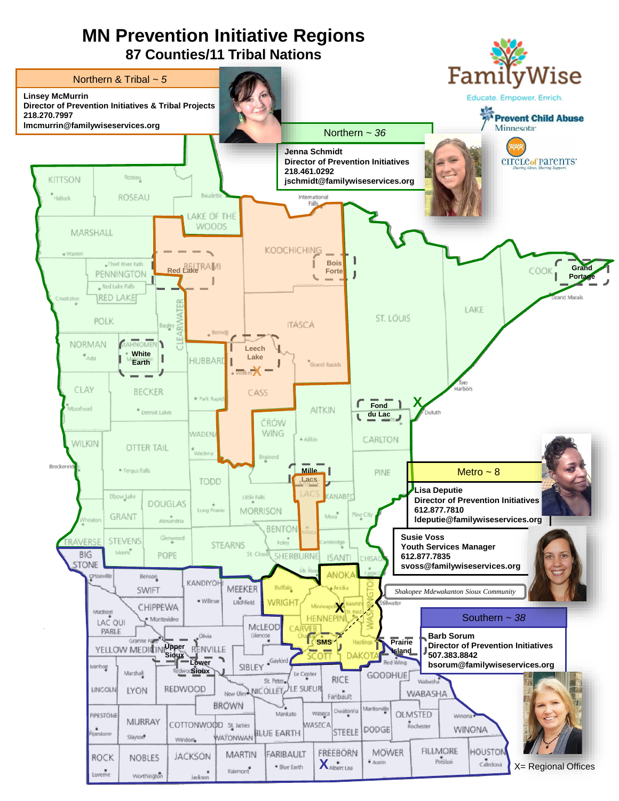